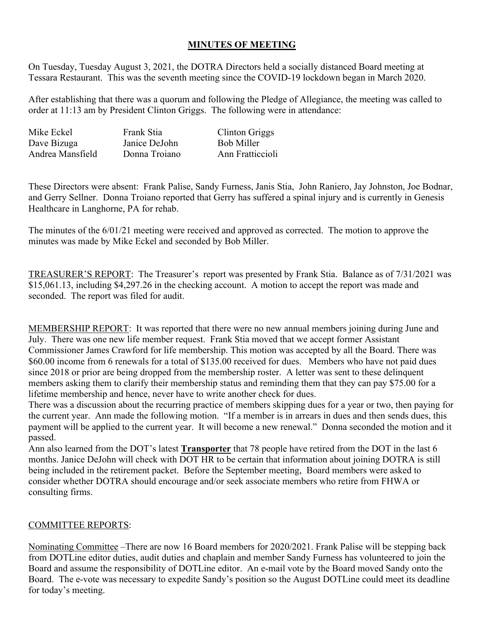## **MINUTES OF MEETING**

On Tuesday, Tuesday August 3, 2021, the DOTRA Directors held a socially distanced Board meeting at Tessara Restaurant. This was the seventh meeting since the COVID-19 lockdown began in March 2020.

After establishing that there was a quorum and following the Pledge of Allegiance, the meeting was called to order at 11:13 am by President Clinton Griggs. The following were in attendance:

| Mike Eckel       | Frank Stia    | Clinton Griggs   |
|------------------|---------------|------------------|
| Dave Bizuga      | Janice DeJohn | Bob Miller       |
| Andrea Mansfield | Donna Troiano | Ann Fratticcioli |

These Directors were absent: Frank Palise, Sandy Furness, Janis Stia, John Raniero, Jay Johnston, Joe Bodnar, and Gerry Sellner. Donna Troiano reported that Gerry has suffered a spinal injury and is currently in Genesis Healthcare in Langhorne, PA for rehab.

The minutes of the 6/01/21 meeting were received and approved as corrected. The motion to approve the minutes was made by Mike Eckel and seconded by Bob Miller.

TREASURER'S REPORT: The Treasurer's report was presented by Frank Stia. Balance as of 7/31/2021 was \$15,061.13, including \$4,297.26 in the checking account. A motion to accept the report was made and seconded. The report was filed for audit.

MEMBERSHIP REPORT: It was reported that there were no new annual members joining during June and July. There was one new life member request. Frank Stia moved that we accept former Assistant Commissioner James Crawford for life membership. This motion was accepted by all the Board. There was \$60.00 income from 6 renewals for a total of \$135.00 received for dues. Members who have not paid dues since 2018 or prior are being dropped from the membership roster. A letter was sent to these delinquent members asking them to clarify their membership status and reminding them that they can pay \$75.00 for a lifetime membership and hence, never have to write another check for dues.

There was a discussion about the recurring practice of members skipping dues for a year or two, then paying for the current year. Ann made the following motion. "If a member is in arrears in dues and then sends dues, this payment will be applied to the current year. It will become a new renewal." Donna seconded the motion and it passed.

Ann also learned from the DOT's latest **Transporter** that 78 people have retired from the DOT in the last 6 months. Janice DeJohn will check with DOT HR to be certain that information about joining DOTRA is still being included in the retirement packet. Before the September meeting, Board members were asked to consider whether DOTRA should encourage and/or seek associate members who retire from FHWA or consulting firms.

## COMMITTEE REPORTS:

Nominating Committee –There are now 16 Board members for 2020/2021. Frank Palise will be stepping back from DOTLine editor duties, audit duties and chaplain and member Sandy Furness has volunteered to join the Board and assume the responsibility of DOTLine editor. An e-mail vote by the Board moved Sandy onto the Board. The e-vote was necessary to expedite Sandy's position so the August DOTLine could meet its deadline for today's meeting.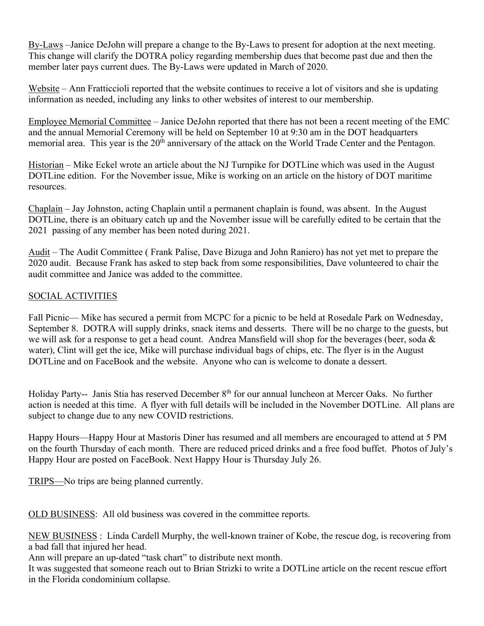By-Laws –Janice DeJohn will prepare a change to the By-Laws to present for adoption at the next meeting. This change will clarify the DOTRA policy regarding membership dues that become past due and then the member later pays current dues. The By-Laws were updated in March of 2020.

Website – Ann Fratticcioli reported that the website continues to receive a lot of visitors and she is updating information as needed, including any links to other websites of interest to our membership.

Employee Memorial Committee – Janice DeJohn reported that there has not been a recent meeting of the EMC and the annual Memorial Ceremony will be held on September 10 at 9:30 am in the DOT headquarters memorial area. This year is the 20<sup>th</sup> anniversary of the attack on the World Trade Center and the Pentagon.

Historian – Mike Eckel wrote an article about the NJ Turnpike for DOTLine which was used in the August DOTLine edition. For the November issue, Mike is working on an article on the history of DOT maritime resources.

Chaplain – Jay Johnston, acting Chaplain until a permanent chaplain is found, was absent. In the August DOTLine, there is an obituary catch up and the November issue will be carefully edited to be certain that the 2021 passing of any member has been noted during 2021.

Audit – The Audit Committee ( Frank Palise, Dave Bizuga and John Raniero) has not yet met to prepare the 2020 audit. Because Frank has asked to step back from some responsibilities, Dave volunteered to chair the audit committee and Janice was added to the committee.

## SOCIAL ACTIVITIES

Fall Picnic— Mike has secured a permit from MCPC for a picnic to be held at Rosedale Park on Wednesday, September 8. DOTRA will supply drinks, snack items and desserts. There will be no charge to the guests, but we will ask for a response to get a head count. Andrea Mansfield will shop for the beverages (beer, soda & water), Clint will get the ice, Mike will purchase individual bags of chips, etc. The flyer is in the August DOTLine and on FaceBook and the website. Anyone who can is welcome to donate a dessert.

Holiday Party-- Janis Stia has reserved December 8th for our annual luncheon at Mercer Oaks. No further action is needed at this time. A flyer with full details will be included in the November DOTLine. All plans are subject to change due to any new COVID restrictions.

Happy Hours—Happy Hour at Mastoris Diner has resumed and all members are encouraged to attend at 5 PM on the fourth Thursday of each month. There are reduced priced drinks and a free food buffet. Photos of July's Happy Hour are posted on FaceBook. Next Happy Hour is Thursday July 26.

TRIPS—No trips are being planned currently.

OLD BUSINESS: All old business was covered in the committee reports.

NEW BUSINESS : Linda Cardell Murphy, the well-known trainer of Kobe, the rescue dog, is recovering from a bad fall that injured her head.

Ann will prepare an up-dated "task chart" to distribute next month.

It was suggested that someone reach out to Brian Strizki to write a DOTLine article on the recent rescue effort in the Florida condominium collapse.